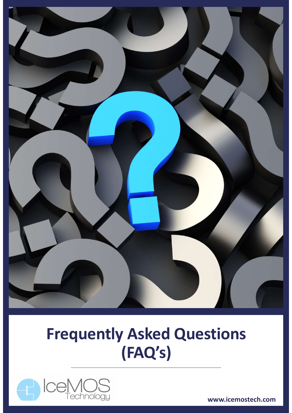

## Frequently Asked Questions (FAQ's)



www.icemostech.com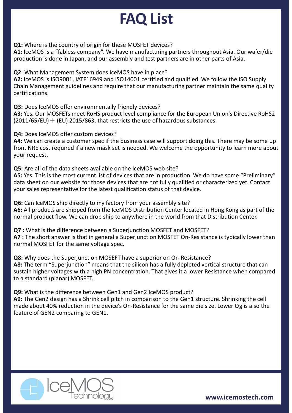## FAQ List

Q1: Where is the country of origin for these MOSFET devices?

A1: IceMOS is a "fabless company". We have manufacturing partners throughout Asia. Our wafer/die production is done in Japan, and our assembly and test partners are in other parts of Asia.

Q2: What Management System does IceMOS have in place?

A2: IceMOS is ISO9001, IATF16949 and ISO14001 certified and qualified. We follow the ISO Supply Chain Management guidelines and require that our manufacturing partner maintain the same quality certifications.

Q3: Does IceMOS offer environmentally friendly devices?

A3: Yes. Our MOSFETs meet RoHS product level compliance for the European Union's Directive RoHS2  $(2011/65/EU)$   $+$  (EU) 2015/863, that restricts the use of hazardous substances.

Q4: Does IceMOS offer custom devices?

A4: We can create a customer spec if the business case will support doing this. There may be some up front NRE cost required if a new mask set is needed. We welcome the opportunity to learn more about your request.

Q5: Are all of the data sheets available on the IceMOS web site? A5: Yes. This is the most current list of devices that are in production. We do have some "Preliminary" data sheet on our website for those devices that are not fully qualified or characterized yet. Contact your sales representative for the latest qualification status of that device. **43.** Does newto so the environmentary need ty ended the difference for the European Union's Directive RoHS2 (2011/65/EU) + (EU) 2015/863, that restricts the use of hazardous substances.<br> **44:** Does IceMOS offer custom dev **A3.** Fes. Out woost-Exis intert words protudit rever complantice to the culppear onto is brief answer in the short and the short and the short and the short and the short and the short and the short and the short and the

Q6: Can IceMOS ship directly to my factory from your assembly site? A6: All products are shipped from the IceMOS Distribution Center located in Hong Kong as part of the normal product flow. We can drop ship to anywhere in the world from that Distribution Center.

normal MOSFET for the same voltage spec.

**47.** Dues it even o oner custom are customer specifie business case will support doing this. There may be so<br>**44:** We can create a customer specifie business case will support doing this. There may be so<br>front NRE cost re A8: The term "Superjunction" means that the silicon has a fully depleted vertical structure that can sustain higher voltages with a high PN concentration. That gives it a lower Resistance when compared to a standard (planar) MOSFET. or a siet of noul website to the detection in the device was a matted to the device.<br>
Age: Can lceMOS ship directly to my factory from your assembly site?<br> **Q6**: Can lceMOS ship directly to my factory from your assembly si

Q9: What is the difference between Gen1 and Gen2 IceMOS product?

A9: The Gen2 design has a Shrink cell pitch in comparison to the Gen1 structure. Shrinking the cell feature of GEN2 comparing to GEN1.



www.icemostech.com